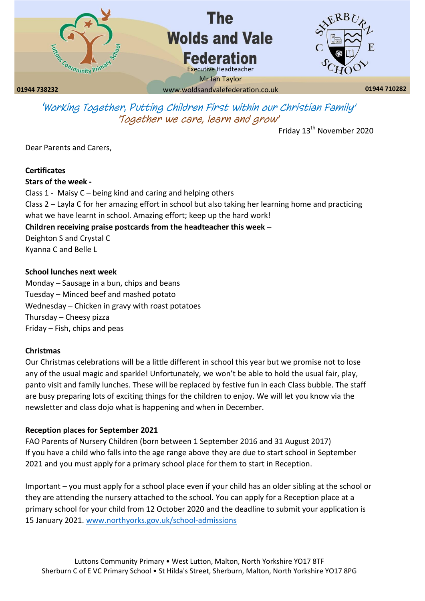

*'Working Together, Putting Children First within our Christian Family' 'Together we care, learn and grow'*

Friday 13<sup>th</sup> November 2020

Dear Parents and Carers,

## **Certificates**

**Stars of the week -**

Class 1 - Maisy C – being kind and caring and helping others Class 2 – Layla C for her amazing effort in school but also taking her learning home and practicing what we have learnt in school. Amazing effort; keep up the hard work! **Children receiving praise postcards from the headteacher this week –** Deighton S and Crystal C Kyanna C and Belle L

## **School lunches next week**

Monday – Sausage in a bun, chips and beans Tuesday – Minced beef and mashed potato Wednesday – Chicken in gravy with roast potatoes Thursday – Cheesy pizza Friday – Fish, chips and peas

# **Christmas**

Our Christmas celebrations will be a little different in school this year but we promise not to lose any of the usual magic and sparkle! Unfortunately, we won't be able to hold the usual fair, play, panto visit and family lunches. These will be replaced by festive fun in each Class bubble. The staff are busy preparing lots of exciting things for the children to enjoy. We will let you know via the newsletter and class dojo what is happening and when in December.

# **Reception places for September 2021**

FAO Parents of Nursery Children (born between 1 September 2016 and 31 August 2017) If you have a child who falls into the age range above they are due to start school in September 2021 and you must apply for a primary school place for them to start in Reception.

Important – you must apply for a school place even if your child has an older sibling at the school or they are attending the nursery attached to the school. You can apply for a Reception place at a primary school for your child from 12 October 2020 and the deadline to submit your application is 15 January 2021. [www.northyorks.gov.uk/school-admissions](http://www.northyorks.gov.uk/school-admissions)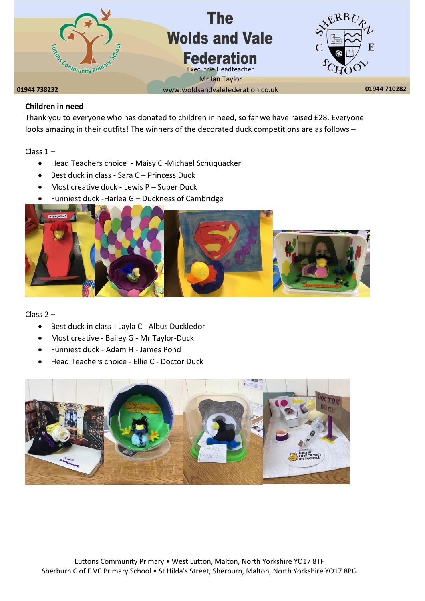

# **Children in need**

Thank you to everyone who has donated to children in need, so far we have raised £28. Everyone looks amazing in their outfits! The winners of the decorated duck competitions are as follows –

Class 1 –

- Head Teachers choice Maisy C -Michael Schuquacker
- Best duck in class Sara C Princess Duck
- Most creative duck Lewis P Super Duck
- Funniest duck -Harlea G Duckness of Cambridge



Class 2 –

- Best duck in class Layla C Albus Duckledor
- Most creative Bailey G Mr Taylor-Duck
- Funniest duck Adam H James Pond
- Head Teachers choice Ellie C Doctor Duck

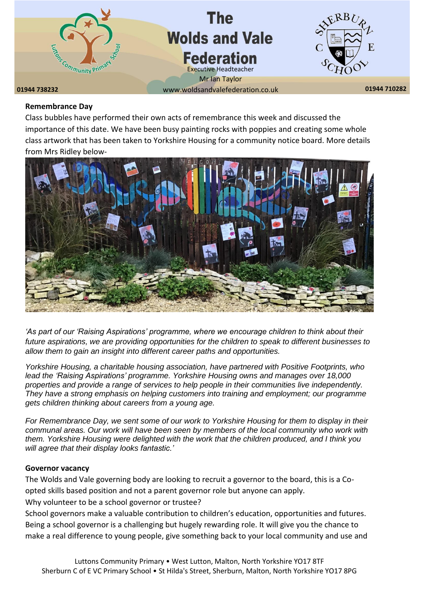

#### **Remembrance Day**

Class bubbles have performed their own acts of remembrance this week and discussed the importance of this date. We have been busy painting rocks with poppies and creating some whole class artwork that has been taken to Yorkshire Housing for a community notice board. More details from Mrs Ridley below-



*'As part of our 'Raising Aspirations' programme, where we encourage children to think about their future aspirations, we are providing opportunities for the children to speak to different businesses to allow them to gain an insight into different career paths and opportunities.* 

*Yorkshire Housing, a charitable housing association, have partnered with Positive Footprints, who lead the 'Raising Aspirations' programme. Yorkshire Housing owns and manages over 18,000 properties and provide a range of services to help people in their communities live independently. They have a strong emphasis on helping customers into training and employment; our programme gets children thinking about careers from a young age.*

*For Remembrance Day, we sent some of our work to Yorkshire Housing for them to display in their communal areas. Our work will have been seen by members of the local community who work with them. Yorkshire Housing were delighted with the work that the children produced, and I think you will agree that their display looks fantastic.'*

#### **Governor vacancy**

The Wolds and Vale governing body are looking to recruit a governor to the board, this is a Coopted skills based position and not a parent governor role but anyone can apply. Why volunteer to be a school governor or trustee?

School governors make a valuable contribution to children's education, opportunities and futures. Being a school governor is a challenging but hugely rewarding role. It will give you the chance to make a real difference to young people, give something back to your local community and use and